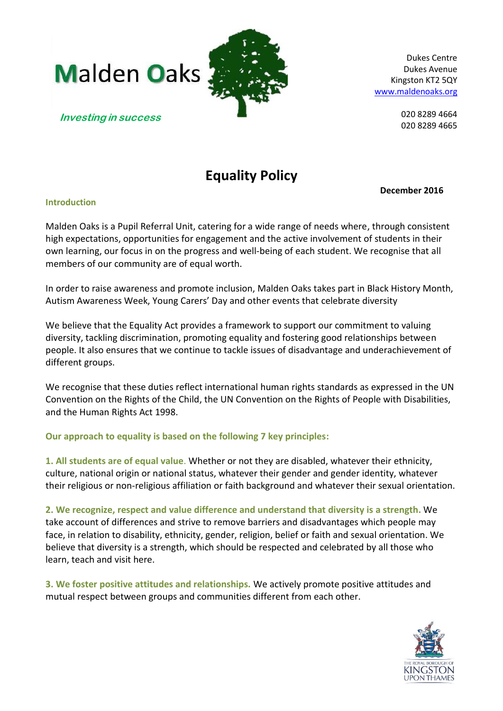



Dukes Centre Dukes Avenue Kingston KT2 5QY [www.maldenoaks.org](http://www.maldenoaks.org/)

> 020 8289 4664 020 8289 4665

# **Equality Policy**

**December 2016**

#### **Introduction**

Malden Oaks is a Pupil Referral Unit, catering for a wide range of needs where, through consistent high expectations, opportunities for engagement and the active involvement of students in their own learning, our focus in on the progress and well-being of each student. We recognise that all members of our community are of equal worth.

In order to raise awareness and promote inclusion, Malden Oaks takes part in Black History Month, Autism Awareness Week, Young Carers' Day and other events that celebrate diversity

We believe that the Equality Act provides a framework to support our commitment to valuing diversity, tackling discrimination, promoting equality and fostering good relationships between people. It also ensures that we continue to tackle issues of disadvantage and underachievement of different groups.

We recognise that these duties reflect international human rights standards as expressed in the UN Convention on the Rights of the Child, the UN Convention on the Rights of People with Disabilities, and the Human Rights Act 1998.

# **Our approach to equality is based on the following 7 key principles:**

**1. All students are of equal value**. Whether or not they are disabled, whatever their ethnicity, culture, national origin or national status, whatever their gender and gender identity, whatever their religious or non-religious affiliation or faith background and whatever their sexual orientation.

**2. We recognize, respect and value difference and understand that diversity is a strength.** We take account of differences and strive to remove barriers and disadvantages which people may face, in relation to disability, ethnicity, gender, religion, belief or faith and sexual orientation. We believe that diversity is a strength, which should be respected and celebrated by all those who learn, teach and visit here.

**3. We foster positive attitudes and relationships.** We actively promote positive attitudes and mutual respect between groups and communities different from each other.

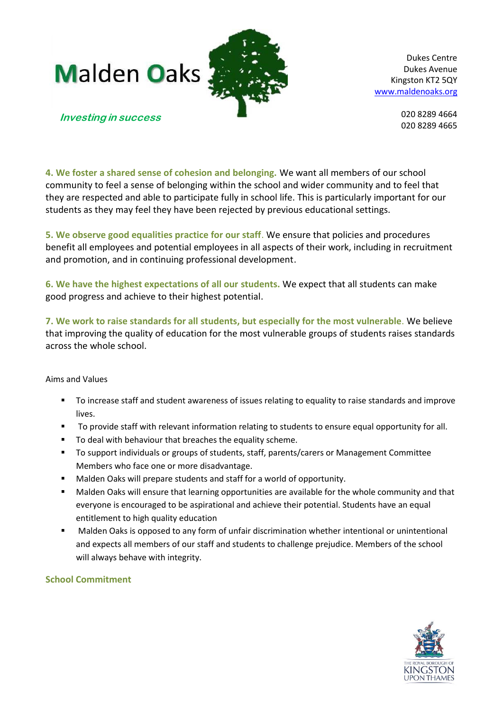



Dukes Centre Dukes Avenue Kingston KT2 5QY [www.maldenoaks.org](http://www.maldenoaks.org/)

> 020 8289 4664 020 8289 4665

#### **Investing in success**

**4. We foster a shared sense of cohesion and belonging.** We want all members of our school community to feel a sense of belonging within the school and wider community and to feel that they are respected and able to participate fully in school life. This is particularly important for our students as they may feel they have been rejected by previous educational settings.

**5. We observe good equalities practice for our staff**. We ensure that policies and procedures benefit all employees and potential employees in all aspects of their work, including in recruitment and promotion, and in continuing professional development.

**6. We have the highest expectations of all our students.** We expect that all students can make good progress and achieve to their highest potential.

**7. We work to raise standards for all students, but especially for the most vulnerable**. We believe that improving the quality of education for the most vulnerable groups of students raises standards across the whole school.

#### Aims and Values

- To increase staff and student awareness of issues relating to equality to raise standards and improve lives.
- To provide staff with relevant information relating to students to ensure equal opportunity for all.
- To deal with behaviour that breaches the equality scheme.
- To support individuals or groups of students, staff, parents/carers or Management Committee Members who face one or more disadvantage.
- Malden Oaks will prepare students and staff for a world of opportunity.
- Malden Oaks will ensure that learning opportunities are available for the whole community and that everyone is encouraged to be aspirational and achieve their potential. Students have an equal entitlement to high quality education
- Malden Oaks is opposed to any form of unfair discrimination whether intentional or unintentional and expects all members of our staff and students to challenge prejudice. Members of the school will always behave with integrity.

#### **School Commitment**

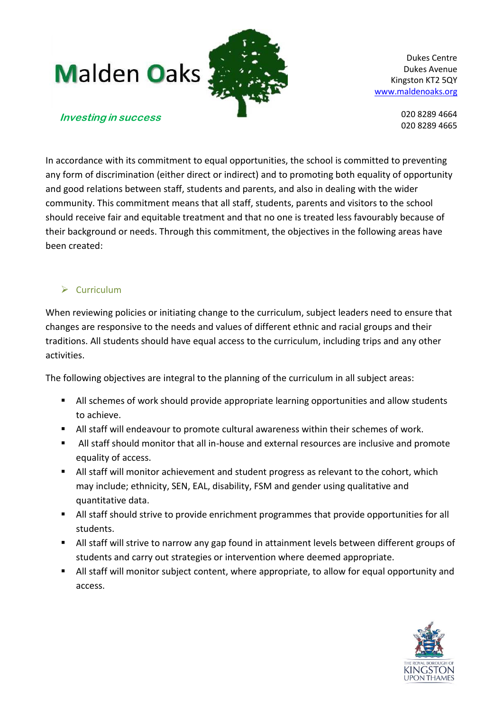

Dukes Centre Dukes Avenue Kingston KT2 5QY [www.maldenoaks.org](http://www.maldenoaks.org/)

> 020 8289 4664 020 8289 4665

#### **Investing in success**

In accordance with its commitment to equal opportunities, the school is committed to preventing any form of discrimination (either direct or indirect) and to promoting both equality of opportunity and good relations between staff, students and parents, and also in dealing with the wider community. This commitment means that all staff, students, parents and visitors to the school should receive fair and equitable treatment and that no one is treated less favourably because of their background or needs. Through this commitment, the objectives in the following areas have been created:

# $\triangleright$  Curriculum

When reviewing policies or initiating change to the curriculum, subject leaders need to ensure that changes are responsive to the needs and values of different ethnic and racial groups and their traditions. All students should have equal access to the curriculum, including trips and any other activities.

The following objectives are integral to the planning of the curriculum in all subject areas:

- All schemes of work should provide appropriate learning opportunities and allow students to achieve.
- All staff will endeavour to promote cultural awareness within their schemes of work.
- All staff should monitor that all in-house and external resources are inclusive and promote equality of access.
- All staff will monitor achievement and student progress as relevant to the cohort, which may include; ethnicity, SEN, EAL, disability, FSM and gender using qualitative and quantitative data.
- All staff should strive to provide enrichment programmes that provide opportunities for all students.
- All staff will strive to narrow any gap found in attainment levels between different groups of students and carry out strategies or intervention where deemed appropriate.
- All staff will monitor subject content, where appropriate, to allow for equal opportunity and access.

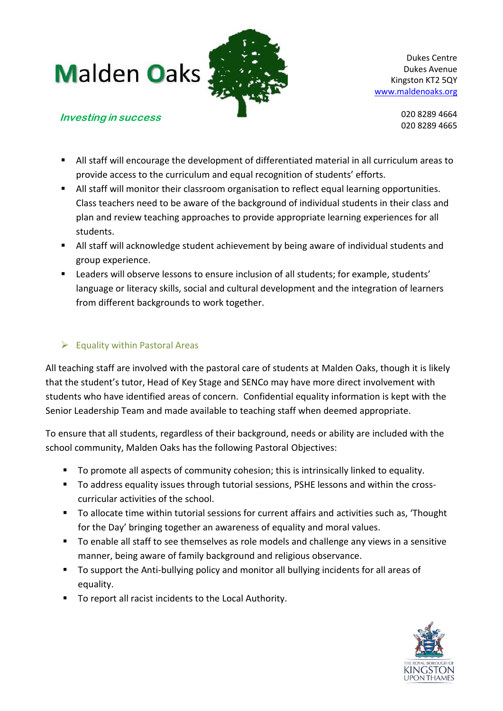

Dukes Centre Dukes Avenue Kingston KT2 5QY [www.maldenoaks.org](http://www.maldenoaks.org/)

> 020 8289 4664 020 8289 4665

# **Investing in success**

- All staff will encourage the development of differentiated material in all curriculum areas to provide access to the curriculum and equal recognition of students' efforts.
- All staff will monitor their classroom organisation to reflect equal learning opportunities. Class teachers need to be aware of the background of individual students in their class and plan and review teaching approaches to provide appropriate learning experiences for all students.
- All staff will acknowledge student achievement by being aware of individual students and group experience.
- Leaders will observe lessons to ensure inclusion of all students; for example, students' language or literacy skills, social and cultural development and the integration of learners from different backgrounds to work together.

# $\triangleright$  Equality within Pastoral Areas

All teaching staff are involved with the pastoral care of students at Malden Oaks, though it is likely that the student's tutor, Head of Key Stage and SENCo may have more direct involvement with students who have identified areas of concern. Confidential equality information is kept with the Senior Leadership Team and made available to teaching staff when deemed appropriate.

To ensure that all students, regardless of their background, needs or ability are included with the school community, Malden Oaks has the following Pastoral Objectives:

- To promote all aspects of community cohesion; this is intrinsically linked to equality.
- To address equality issues through tutorial sessions, PSHE lessons and within the crosscurricular activities of the school.
- To allocate time within tutorial sessions for current affairs and activities such as, 'Thought for the Day' bringing together an awareness of equality and moral values.
- To enable all staff to see themselves as role models and challenge any views in a sensitive manner, being aware of family background and religious observance.
- To support the Anti-bullying policy and monitor all bullying incidents for all areas of equality.
- To report all racist incidents to the Local Authority.

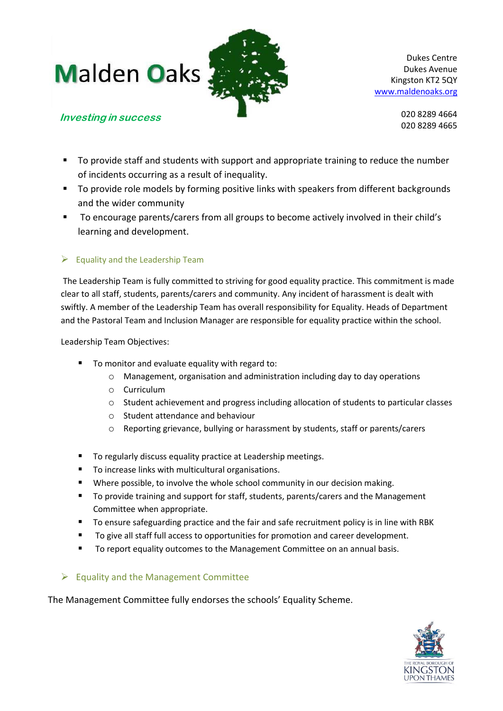**Investing in success**



Dukes Centre Dukes Avenue Kingston KT2 5QY [www.maldenoaks.org](http://www.maldenoaks.org/)

020 8289 4664 020 8289 4665

- To provide staff and students with support and appropriate training to reduce the number
- of incidents occurring as a result of inequality. ■ To provide role models by forming positive links with speakers from different backgrounds and the wider community
- To encourage parents/carers from all groups to become actively involved in their child's learning and development.

# $\triangleright$  Equality and the Leadership Team

The Leadership Team is fully committed to striving for good equality practice. This commitment is made clear to all staff, students, parents/carers and community. Any incident of harassment is dealt with swiftly. A member of the Leadership Team has overall responsibility for Equality. Heads of Department and the Pastoral Team and Inclusion Manager are responsible for equality practice within the school.

Leadership Team Objectives:

- To monitor and evaluate equality with regard to:
	- o Management, organisation and administration including day to day operations
	- o Curriculum
	- $\circ$  Student achievement and progress including allocation of students to particular classes
	- o Student attendance and behaviour
	- o Reporting grievance, bullying or harassment by students, staff or parents/carers
- To regularly discuss equality practice at Leadership meetings.
- To increase links with multicultural organisations.
- Where possible, to involve the whole school community in our decision making.
- To provide training and support for staff, students, parents/carers and the Management Committee when appropriate.
- To ensure safeguarding practice and the fair and safe recruitment policy is in line with RBK
- To give all staff full access to opportunities for promotion and career development.
- To report equality outcomes to the Management Committee on an annual basis.

# $\triangleright$  Equality and the Management Committee

The Management Committee fully endorses the schools' Equality Scheme.

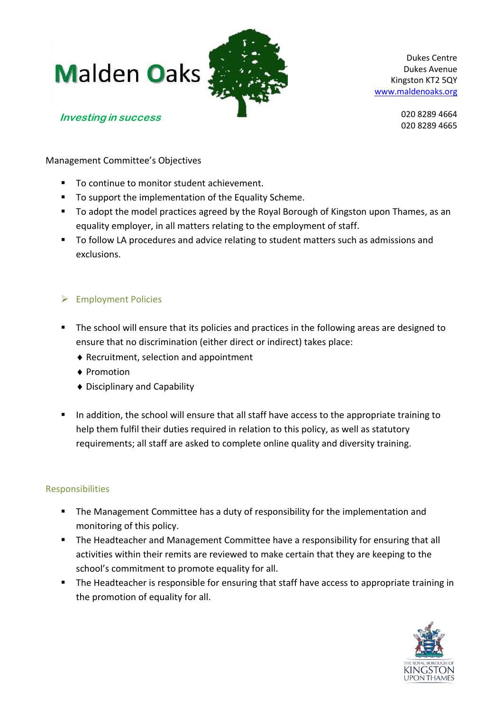

Dukes Centre Dukes Avenue Kingston KT2 5QY [www.maldenoaks.org](http://www.maldenoaks.org/)

**Investing in success**

020 8289 4664 020 8289 4665

Management Committee's Objectives

- To continue to monitor student achievement.
- To support the implementation of the Equality Scheme.
- To adopt the model practices agreed by the Royal Borough of Kingston upon Thames, as an equality employer, in all matters relating to the employment of staff.
- To follow LA procedures and advice relating to student matters such as admissions and exclusions.

# Employment Policies

- The school will ensure that its policies and practices in the following areas are designed to ensure that no discrimination (either direct or indirect) takes place:
	- Recruitment, selection and appointment
	- ◆ Promotion
	- Disciplinary and Capability
- In addition, the school will ensure that all staff have access to the appropriate training to help them fulfil their duties required in relation to this policy, as well as statutory requirements; all staff are asked to complete online quality and diversity training.

# Responsibilities

- **The Management Committee has a duty of responsibility for the implementation and** monitoring of this policy.
- **The Headteacher and Management Committee have a responsibility for ensuring that all** activities within their remits are reviewed to make certain that they are keeping to the school's commitment to promote equality for all.
- The Headteacher is responsible for ensuring that staff have access to appropriate training in the promotion of equality for all.

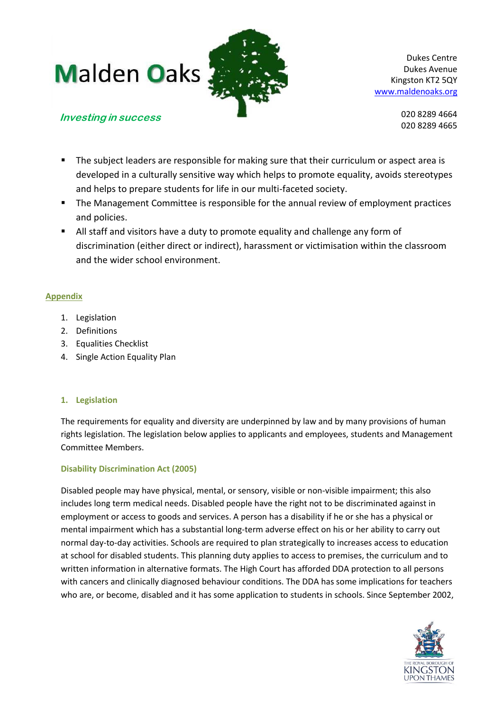

Dukes Centre Dukes Avenue Kingston KT2 5QY [www.maldenoaks.org](http://www.maldenoaks.org/)

> 020 8289 4664 020 8289 4665

# **Investing in success**

- **The subject leaders are responsible for making sure that their curriculum or aspect area is** developed in a culturally sensitive way which helps to promote equality, avoids stereotypes and helps to prepare students for life in our multi-faceted society.
- **The Management Committee is responsible for the annual review of employment practices** and policies.
- All staff and visitors have a duty to promote equality and challenge any form of discrimination (either direct or indirect), harassment or victimisation within the classroom and the wider school environment.

# **Appendix**

- 1. Legislation
- 2. Definitions
- 3. Equalities Checklist
- 4. Single Action Equality Plan

# **1. Legislation**

The requirements for equality and diversity are underpinned by law and by many provisions of human rights legislation. The legislation below applies to applicants and employees, students and Management Committee Members.

# **Disability Discrimination Act (2005)**

Disabled people may have physical, mental, or sensory, visible or non-visible impairment; this also includes long term medical needs. Disabled people have the right not to be discriminated against in employment or access to goods and services. A person has a disability if he or she has a physical or mental impairment which has a substantial long-term adverse effect on his or her ability to carry out normal day-to-day activities. Schools are required to plan strategically to increases access to education at school for disabled students. This planning duty applies to access to premises, the curriculum and to written information in alternative formats. The High Court has afforded DDA protection to all persons with cancers and clinically diagnosed behaviour conditions. The DDA has some implications for teachers who are, or become, disabled and it has some application to students in schools. Since September 2002,

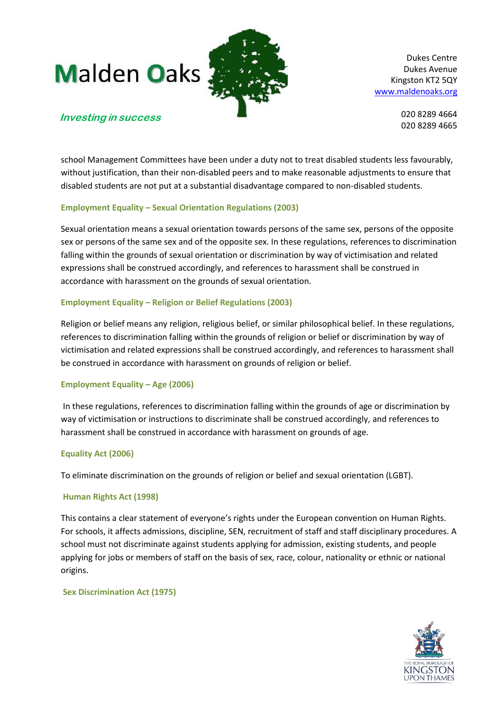

Dukes Centre Dukes Avenue Kingston KT2 5QY [www.maldenoaks.org](http://www.maldenoaks.org/)

> 020 8289 4664 020 8289 4665

# **Investing in success**

school Management Committees have been under a duty not to treat disabled students less favourably, without justification, than their non-disabled peers and to make reasonable adjustments to ensure that disabled students are not put at a substantial disadvantage compared to non-disabled students.

#### **Employment Equality – Sexual Orientation Regulations (2003)**

Sexual orientation means a sexual orientation towards persons of the same sex, persons of the opposite sex or persons of the same sex and of the opposite sex. In these regulations, references to discrimination falling within the grounds of sexual orientation or discrimination by way of victimisation and related expressions shall be construed accordingly, and references to harassment shall be construed in accordance with harassment on the grounds of sexual orientation.

#### **Employment Equality – Religion or Belief Regulations (2003)**

Religion or belief means any religion, religious belief, or similar philosophical belief. In these regulations, references to discrimination falling within the grounds of religion or belief or discrimination by way of victimisation and related expressions shall be construed accordingly, and references to harassment shall be construed in accordance with harassment on grounds of religion or belief.

#### **Employment Equality – Age (2006)**

In these regulations, references to discrimination falling within the grounds of age or discrimination by way of victimisation or instructions to discriminate shall be construed accordingly, and references to harassment shall be construed in accordance with harassment on grounds of age.

#### **Equality Act (2006)**

To eliminate discrimination on the grounds of religion or belief and sexual orientation (LGBT).

#### **Human Rights Act (1998)**

This contains a clear statement of everyone's rights under the European convention on Human Rights. For schools, it affects admissions, discipline, SEN, recruitment of staff and staff disciplinary procedures. A school must not discriminate against students applying for admission, existing students, and people applying for jobs or members of staff on the basis of sex, race, colour, nationality or ethnic or national origins.

#### **Sex Discrimination Act (1975)**

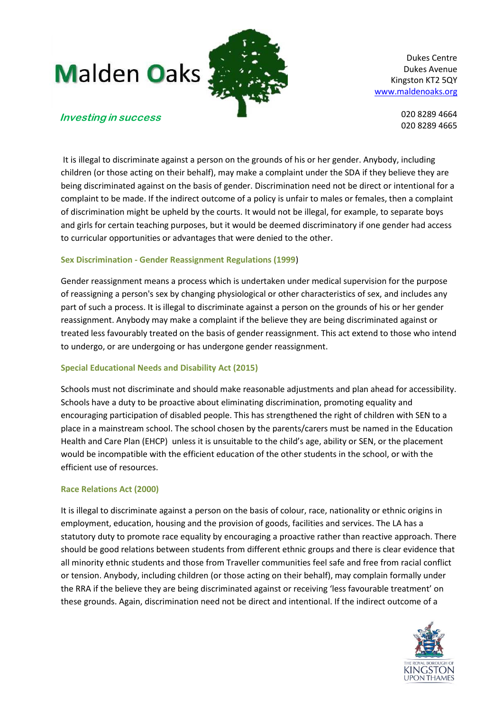

Dukes Centre Dukes Avenue Kingston KT2 5QY [www.maldenoaks.org](http://www.maldenoaks.org/)

> 020 8289 4664 020 8289 4665

# **Investing in success**

It is illegal to discriminate against a person on the grounds of his or her gender. Anybody, including children (or those acting on their behalf), may make a complaint under the SDA if they believe they are being discriminated against on the basis of gender. Discrimination need not be direct or intentional for a complaint to be made. If the indirect outcome of a policy is unfair to males or females, then a complaint of discrimination might be upheld by the courts. It would not be illegal, for example, to separate boys and girls for certain teaching purposes, but it would be deemed discriminatory if one gender had access to curricular opportunities or advantages that were denied to the other.

# **Sex Discrimination - Gender Reassignment Regulations (1999**)

Gender reassignment means a process which is undertaken under medical supervision for the purpose of reassigning a person's sex by changing physiological or other characteristics of sex, and includes any part of such a process. It is illegal to discriminate against a person on the grounds of his or her gender reassignment. Anybody may make a complaint if the believe they are being discriminated against or treated less favourably treated on the basis of gender reassignment. This act extend to those who intend to undergo, or are undergoing or has undergone gender reassignment.

# **Special Educational Needs and Disability Act (2015)**

Schools must not discriminate and should make reasonable adjustments and plan ahead for accessibility. Schools have a duty to be proactive about eliminating discrimination, promoting equality and encouraging participation of disabled people. This has strengthened the right of children with SEN to a place in a mainstream school. The school chosen by the parents/carers must be named in the Education Health and Care Plan (EHCP) unless it is unsuitable to the child's age, ability or SEN, or the placement would be incompatible with the efficient education of the other students in the school, or with the efficient use of resources.

#### **Race Relations Act (2000)**

It is illegal to discriminate against a person on the basis of colour, race, nationality or ethnic origins in employment, education, housing and the provision of goods, facilities and services. The LA has a statutory duty to promote race equality by encouraging a proactive rather than reactive approach. There should be good relations between students from different ethnic groups and there is clear evidence that all minority ethnic students and those from Traveller communities feel safe and free from racial conflict or tension. Anybody, including children (or those acting on their behalf), may complain formally under the RRA if the believe they are being discriminated against or receiving 'less favourable treatment' on these grounds. Again, discrimination need not be direct and intentional. If the indirect outcome of a

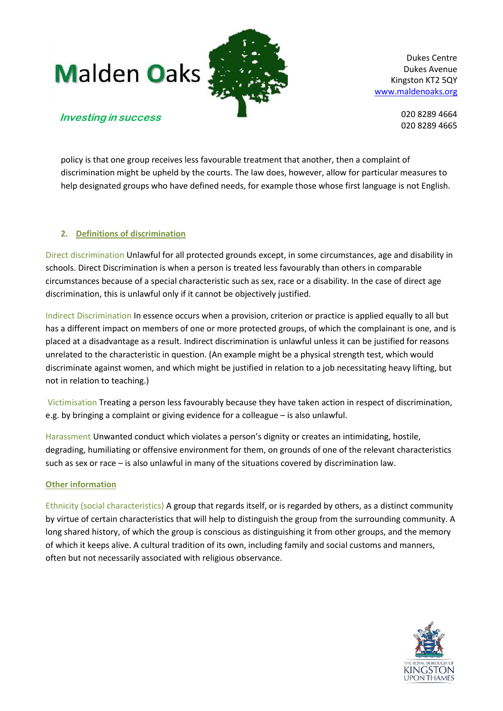

Dukes Centre Dukes Avenue Kingston KT2 5QY [www.maldenoaks.org](http://www.maldenoaks.org/)

> 020 8289 4664 020 8289 4665

# **Investing in success**

policy is that one group receives less favourable treatment that another, then a complaint of discrimination might be upheld by the courts. The law does, however, allow for particular measures to help designated groups who have defined needs, for example those whose first language is not English.

#### **2. Definitions of discrimination**

Direct discrimination Unlawful for all protected grounds except, in some circumstances, age and disability in schools. Direct Discrimination is when a person is treated less favourably than others in comparable circumstances because of a special characteristic such as sex, race or a disability. In the case of direct age discrimination, this is unlawful only if it cannot be objectively justified.

Indirect Discrimination In essence occurs when a provision, criterion or practice is applied equally to all but has a different impact on members of one or more protected groups, of which the complainant is one, and is placed at a disadvantage as a result. Indirect discrimination is unlawful unless it can be justified for reasons unrelated to the characteristic in question. (An example might be a physical strength test, which would discriminate against women, and which might be justified in relation to a job necessitating heavy lifting, but not in relation to teaching.)

Victimisation Treating a person less favourably because they have taken action in respect of discrimination, e.g. by bringing a complaint or giving evidence for a colleague – is also unlawful.

Harassment Unwanted conduct which violates a person's dignity or creates an intimidating, hostile, degrading, humiliating or offensive environment for them, on grounds of one of the relevant characteristics such as sex or race – is also unlawful in many of the situations covered by discrimination law.

# **Other information**

Ethnicity (social characteristics) A group that regards itself, or is regarded by others, as a distinct community by virtue of certain characteristics that will help to distinguish the group from the surrounding community. A long shared history, of which the group is conscious as distinguishing it from other groups, and the memory of which it keeps alive. A cultural tradition of its own, including family and social customs and manners, often but not necessarily associated with religious observance.

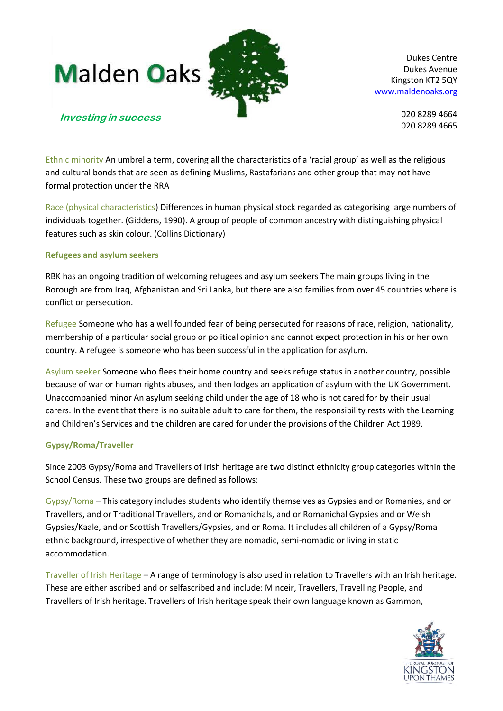



Dukes Centre Dukes Avenue Kingston KT2 5QY [www.maldenoaks.org](http://www.maldenoaks.org/)

020 8289 4664 020 8289 4665

# **Investing in success**

Ethnic minority An umbrella term, covering all the characteristics of a 'racial group' as well as the religious and cultural bonds that are seen as defining Muslims, Rastafarians and other group that may not have formal protection under the RRA

Race (physical characteristics) Differences in human physical stock regarded as categorising large numbers of individuals together. (Giddens, 1990). A group of people of common ancestry with distinguishing physical features such as skin colour. (Collins Dictionary)

#### **Refugees and asylum seekers**

RBK has an ongoing tradition of welcoming refugees and asylum seekers The main groups living in the Borough are from Iraq, Afghanistan and Sri Lanka, but there are also families from over 45 countries where is conflict or persecution.

Refugee Someone who has a well founded fear of being persecuted for reasons of race, religion, nationality, membership of a particular social group or political opinion and cannot expect protection in his or her own country. A refugee is someone who has been successful in the application for asylum.

Asylum seeker Someone who flees their home country and seeks refuge status in another country, possible because of war or human rights abuses, and then lodges an application of asylum with the UK Government. Unaccompanied minor An asylum seeking child under the age of 18 who is not cared for by their usual carers. In the event that there is no suitable adult to care for them, the responsibility rests with the Learning and Children's Services and the children are cared for under the provisions of the Children Act 1989.

# **Gypsy/Roma/Traveller**

Since 2003 Gypsy/Roma and Travellers of Irish heritage are two distinct ethnicity group categories within the School Census. These two groups are defined as follows:

Gypsy/Roma – This category includes students who identify themselves as Gypsies and or Romanies, and or Travellers, and or Traditional Travellers, and or Romanichals, and or Romanichal Gypsies and or Welsh Gypsies/Kaale, and or Scottish Travellers/Gypsies, and or Roma. It includes all children of a Gypsy/Roma ethnic background, irrespective of whether they are nomadic, semi-nomadic or living in static accommodation.

Traveller of Irish Heritage – A range of terminology is also used in relation to Travellers with an Irish heritage. These are either ascribed and or selfascribed and include: Minceir, Travellers, Travelling People, and Travellers of Irish heritage. Travellers of Irish heritage speak their own language known as Gammon,

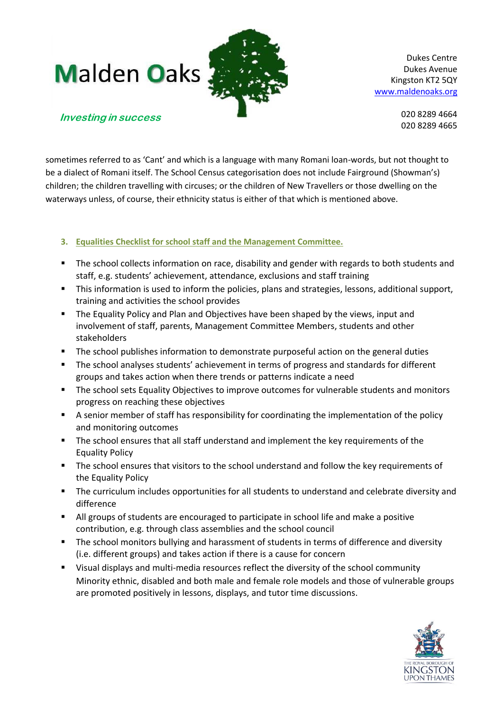

Dukes Centre Dukes Avenue Kingston KT2 5QY [www.maldenoaks.org](http://www.maldenoaks.org/)

> 020 8289 4664 020 8289 4665

# **Investing in success**

sometimes referred to as 'Cant' and which is a language with many Romani loan-words, but not thought to be a dialect of Romani itself. The School Census categorisation does not include Fairground (Showman's) children; the children travelling with circuses; or the children of New Travellers or those dwelling on the waterways unless, of course, their ethnicity status is either of that which is mentioned above.

# **3. Equalities Checklist for school staff and the Management Committee.**

- The school collects information on race, disability and gender with regards to both students and staff, e.g. students' achievement, attendance, exclusions and staff training
- This information is used to inform the policies, plans and strategies, lessons, additional support, training and activities the school provides
- **The Equality Policy and Plan and Objectives have been shaped by the views, input and** involvement of staff, parents, Management Committee Members, students and other stakeholders
- **The school publishes information to demonstrate purposeful action on the general duties**
- The school analyses students' achievement in terms of progress and standards for different groups and takes action when there trends or patterns indicate a need
- **The school sets Equality Objectives to improve outcomes for vulnerable students and monitors** progress on reaching these objectives
- A senior member of staff has responsibility for coordinating the implementation of the policy and monitoring outcomes
- The school ensures that all staff understand and implement the key requirements of the Equality Policy
- The school ensures that visitors to the school understand and follow the key requirements of the Equality Policy
- The curriculum includes opportunities for all students to understand and celebrate diversity and difference
- All groups of students are encouraged to participate in school life and make a positive contribution, e.g. through class assemblies and the school council
- The school monitors bullying and harassment of students in terms of difference and diversity (i.e. different groups) and takes action if there is a cause for concern
- Visual displays and multi-media resources reflect the diversity of the school community Minority ethnic, disabled and both male and female role models and those of vulnerable groups are promoted positively in lessons, displays, and tutor time discussions.